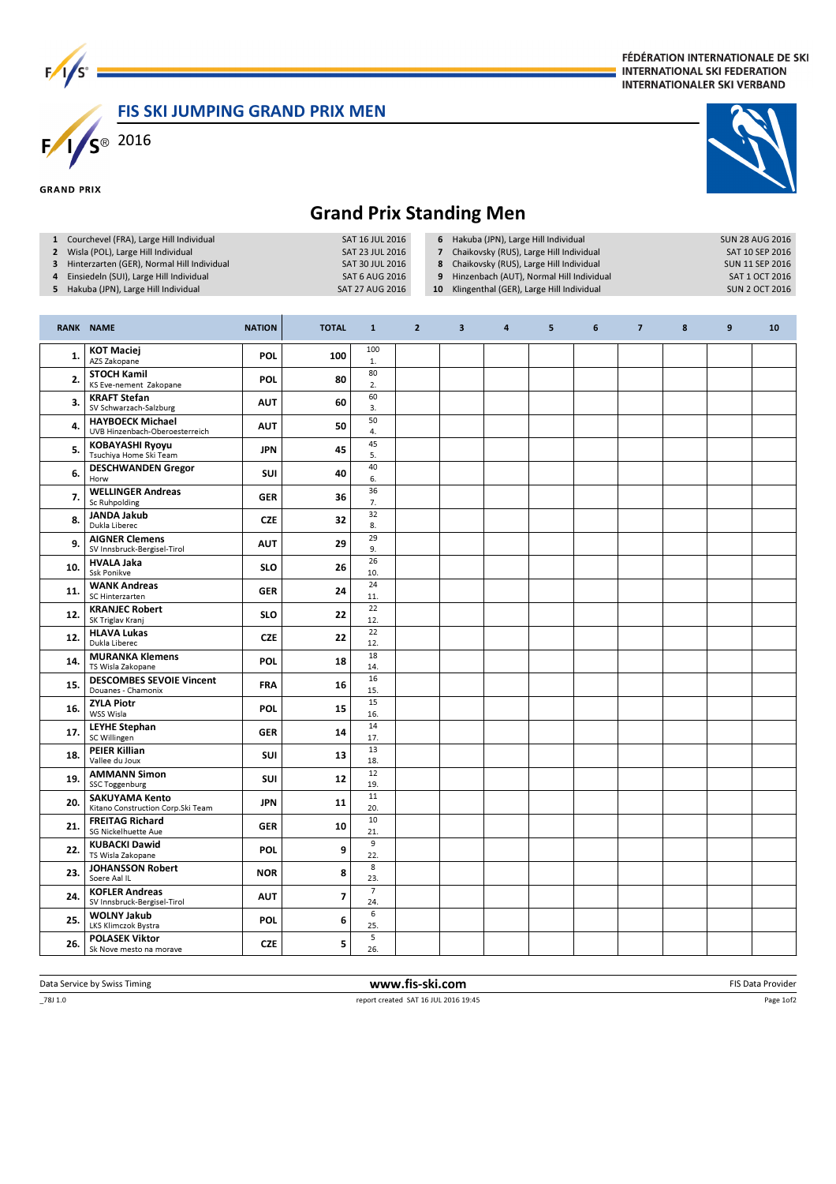$F/1/s^3$   $F/1/s^8$   $2016$ 

#### FÉDÉRATION INTERNATIONALE DE SKI **INTERNATIONAL SKI FEDERATION INTERNATIONALER SKI VERBAND**

### FIS SKI JUMPING GRAND PRIX MEN

#### **GRAND PRIX**

## Grand Prix Standing Men

| Grand Prix Standing Men                                                                                                                                                                                                       |                                                            |               |              |                                                                                                   |                |                                                       |                                                                                                                                                                                                                     |   |   |                                                                                                                |   |   |    |  |
|-------------------------------------------------------------------------------------------------------------------------------------------------------------------------------------------------------------------------------|------------------------------------------------------------|---------------|--------------|---------------------------------------------------------------------------------------------------|----------------|-------------------------------------------------------|---------------------------------------------------------------------------------------------------------------------------------------------------------------------------------------------------------------------|---|---|----------------------------------------------------------------------------------------------------------------|---|---|----|--|
| 1 Courchevel (FRA), Large Hill Individual<br>2 Wisla (POL), Large Hill Individual<br>Hinterzarten (GER), Normal Hill Individual<br>3<br>Einsiedeln (SUI), Large Hill Individual<br>4<br>5 Hakuba (JPN), Large Hill Individual |                                                            |               |              | SAT 16 JUL 2016<br>SAT 23 JUL 2016<br>SAT 30 JUL 2016<br><b>SAT 6 AUG 2016</b><br>SAT 27 AUG 2016 |                | $\overline{\phantom{a}}$<br>8<br>9<br>10 <sub>1</sub> | 6 Hakuba (JPN), Large Hill Individual<br>Chaikovsky (RUS), Large Hill Individual<br>Chaikovsky (RUS), Large Hill Individual<br>Hinzenbach (AUT), Normal Hill Individual<br>Klingenthal (GER), Large Hill Individual |   |   | <b>SUN 28 AUG 2016</b><br>SAT 10 SEP 2016<br><b>SUN 11 SEP 2016</b><br>SAT 1 OCT 2016<br><b>SUN 2 OCT 2016</b> |   |   |    |  |
|                                                                                                                                                                                                                               | <b>RANK NAME</b>                                           | <b>NATION</b> | <b>TOTAL</b> | $\mathbf{1}$                                                                                      | $\overline{2}$ | $\overline{\mathbf{3}}$                               | 4                                                                                                                                                                                                                   | 5 | 6 | $\overline{7}$                                                                                                 | 8 | 9 | 10 |  |
| 1.                                                                                                                                                                                                                            | <b>KOT Maciej</b><br>AZS Zakopane                          | <b>POL</b>    | 100          | 100<br>1.                                                                                         |                |                                                       |                                                                                                                                                                                                                     |   |   |                                                                                                                |   |   |    |  |
| 2.                                                                                                                                                                                                                            | <b>STOCH Kamil</b><br>KS Eve-nement Zakopane               | POL           | 80           | 80<br>2.                                                                                          |                |                                                       |                                                                                                                                                                                                                     |   |   |                                                                                                                |   |   |    |  |
| 3.                                                                                                                                                                                                                            | <b>KRAFT Stefan</b><br>SV Schwarzach-Salzburg              | <b>AUT</b>    | 60           | 60<br>3.                                                                                          |                |                                                       |                                                                                                                                                                                                                     |   |   |                                                                                                                |   |   |    |  |
| 4.                                                                                                                                                                                                                            | <b>HAYBOECK Michael</b><br>UVB Hinzenbach-Oberoesterreich  | AUT           | 50           | 50<br>4.                                                                                          |                |                                                       |                                                                                                                                                                                                                     |   |   |                                                                                                                |   |   |    |  |
| 5.                                                                                                                                                                                                                            | <b>KOBAYASHI Ryoyu</b><br>Tsuchiya Home Ski Team           | <b>JPN</b>    | 45           | 45<br>5.                                                                                          |                |                                                       |                                                                                                                                                                                                                     |   |   |                                                                                                                |   |   |    |  |
| 6.                                                                                                                                                                                                                            | <b>DESCHWANDEN Gregor</b><br>Horw                          | SUI           | 40           | 40<br>6.                                                                                          |                |                                                       |                                                                                                                                                                                                                     |   |   |                                                                                                                |   |   |    |  |
| 7.                                                                                                                                                                                                                            | <b>WELLINGER Andreas</b><br>Sc Ruhpolding                  | <b>GER</b>    | 36           | 36<br>7.                                                                                          |                |                                                       |                                                                                                                                                                                                                     |   |   |                                                                                                                |   |   |    |  |
| 8.                                                                                                                                                                                                                            | <b>JANDA Jakub</b><br>Dukla Liberec                        | <b>CZE</b>    | 32           | 32<br>8.                                                                                          |                |                                                       |                                                                                                                                                                                                                     |   |   |                                                                                                                |   |   |    |  |
| 9.                                                                                                                                                                                                                            | <b>AIGNER Clemens</b><br>SV Innsbruck-Bergisel-Tirol       | <b>AUT</b>    | 29           | 29<br>9.                                                                                          |                |                                                       |                                                                                                                                                                                                                     |   |   |                                                                                                                |   |   |    |  |
| 10.                                                                                                                                                                                                                           | <b>HVALA Jaka</b><br>Ssk Ponikve                           | <b>SLO</b>    | 26           | 26<br>10.                                                                                         |                |                                                       |                                                                                                                                                                                                                     |   |   |                                                                                                                |   |   |    |  |
| 11.                                                                                                                                                                                                                           | <b>WANK Andreas</b><br>SC Hinterzarten                     | GER           | 24           | 24<br>11.                                                                                         |                |                                                       |                                                                                                                                                                                                                     |   |   |                                                                                                                |   |   |    |  |
| 12.                                                                                                                                                                                                                           | <b>KRANJEC Robert</b><br>SK Triglav Kranj                  | <b>SLO</b>    | 22           | 22<br>12.                                                                                         |                |                                                       |                                                                                                                                                                                                                     |   |   |                                                                                                                |   |   |    |  |
| 12.                                                                                                                                                                                                                           | <b>HLAVA Lukas</b><br>Dukla Liberec                        | <b>CZE</b>    | 22           | 22<br>12.                                                                                         |                |                                                       |                                                                                                                                                                                                                     |   |   |                                                                                                                |   |   |    |  |
| 14.                                                                                                                                                                                                                           | <b>MURANKA Klemens</b><br>TS Wisla Zakopane                | <b>POL</b>    | 18           | 18<br>14.                                                                                         |                |                                                       |                                                                                                                                                                                                                     |   |   |                                                                                                                |   |   |    |  |
| 15.                                                                                                                                                                                                                           | <b>DESCOMBES SEVOIE Vincent</b><br>Douanes - Chamonix      | <b>FRA</b>    | 16           | 16<br>15.                                                                                         |                |                                                       |                                                                                                                                                                                                                     |   |   |                                                                                                                |   |   |    |  |
| 16.                                                                                                                                                                                                                           | <b>ZYLA Piotr</b><br>WSS Wisla                             | <b>POL</b>    | 15           | 15<br>16.                                                                                         |                |                                                       |                                                                                                                                                                                                                     |   |   |                                                                                                                |   |   |    |  |
| 17.                                                                                                                                                                                                                           | <b>LEYHE Stephan</b><br>SC Willingen                       | GER           | 14           | 14<br>17.                                                                                         |                |                                                       |                                                                                                                                                                                                                     |   |   |                                                                                                                |   |   |    |  |
| 18.                                                                                                                                                                                                                           | <b>PEIER Killian</b><br>Vallee du Joux                     | <b>SUI</b>    | 13           | 13<br>18.                                                                                         |                |                                                       |                                                                                                                                                                                                                     |   |   |                                                                                                                |   |   |    |  |
| 19.                                                                                                                                                                                                                           | <b>AMMANN Simon</b><br><b>SSC Toggenburg</b>               | SUI           | 12           | 12<br>19.                                                                                         |                |                                                       |                                                                                                                                                                                                                     |   |   |                                                                                                                |   |   |    |  |
| 20.                                                                                                                                                                                                                           | <b>SAKUYAMA Kento</b><br>Kitano Construction Corp.Ski Team | <b>JPN</b>    | 11           | $11\,$<br>20.                                                                                     |                |                                                       |                                                                                                                                                                                                                     |   |   |                                                                                                                |   |   |    |  |
| 21.                                                                                                                                                                                                                           | <b>FREITAG Richard</b><br>SG Nickelhuette Aue              | <b>GER</b>    | 10           | 10<br>21.                                                                                         |                |                                                       |                                                                                                                                                                                                                     |   |   |                                                                                                                |   |   |    |  |
| 22.                                                                                                                                                                                                                           | <b>KUBACKI Dawid</b><br>TS Wisla Zakopane                  | <b>POL</b>    | 9            | 9<br>22.                                                                                          |                |                                                       |                                                                                                                                                                                                                     |   |   |                                                                                                                |   |   |    |  |
| 23.                                                                                                                                                                                                                           | <b>JOHANSSON Robert</b><br>Soere Aal IL                    | <b>NOR</b>    | 8            | 8<br>23.                                                                                          |                |                                                       |                                                                                                                                                                                                                     |   |   |                                                                                                                |   |   |    |  |
| 24.                                                                                                                                                                                                                           | <b>KOFLER Andreas</b><br>SV Innsbruck-Bergisel-Tirol       | <b>AUT</b>    | 7            | $\overline{7}$<br>24.                                                                             |                |                                                       |                                                                                                                                                                                                                     |   |   |                                                                                                                |   |   |    |  |
| 25.                                                                                                                                                                                                                           | <b>WOLNY Jakub</b><br>LKS Klimczok Bystra                  | <b>POL</b>    | 6            | 6<br>25.                                                                                          |                |                                                       |                                                                                                                                                                                                                     |   |   |                                                                                                                |   |   |    |  |
| 26.                                                                                                                                                                                                                           | <b>POLASEK Viktor</b><br>Sk Nove mesto na morave           | <b>CZE</b>    | 5            | 5<br>26.                                                                                          |                |                                                       |                                                                                                                                                                                                                     |   |   |                                                                                                                |   |   |    |  |
|                                                                                                                                                                                                                               |                                                            |               |              |                                                                                                   |                |                                                       |                                                                                                                                                                                                                     |   |   |                                                                                                                |   |   |    |  |

Page 1of2